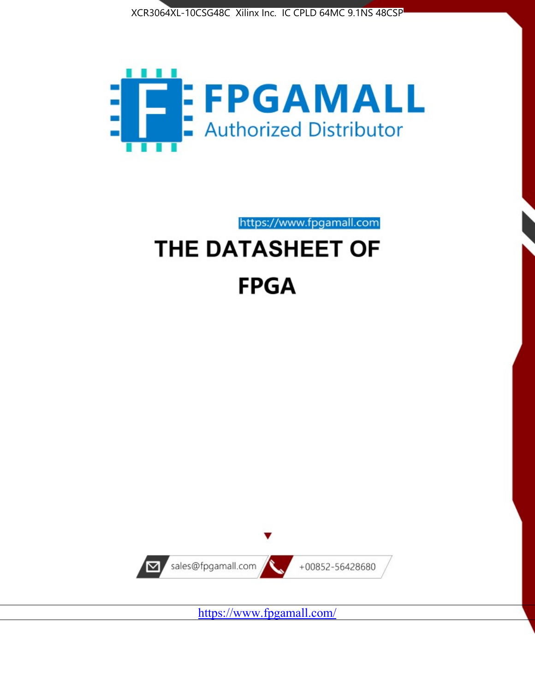



https://www.fpgamall.com THE DATASHEET OF

# **FPGA**



https://www.fpgamall.com/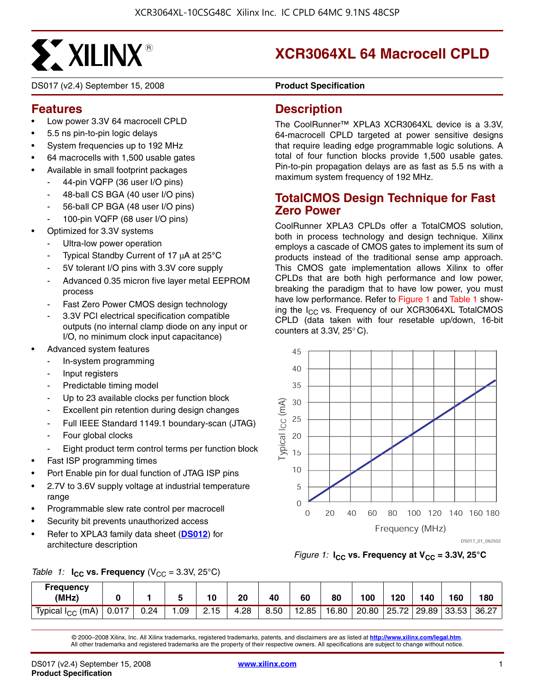# **SXXILINX®**

DS017 (v2.4) September 15, 2008 **Product Specification** 

# **XCR3064XL 64 Macrocell CPLD**

# **Features**

- Low power 3.3V 64 macrocell CPLD
- 5.5 ns pin-to-pin logic delays
- System frequencies up to 192 MHz
- 64 macrocells with 1,500 usable gates
- Available in small footprint packages
	- 44-pin VQFP (36 user I/O pins)
	- 48-ball CS BGA (40 user I/O pins)
	- 56-ball CP BGA (48 user I/O pins)
	- 100-pin VQFP (68 user I/O pins)
- Optimized for 3.3V systems
	- Ultra-low power operation
	- Typical Standby Current of 17 μA at 25**°**C
	- 5V tolerant I/O pins with 3.3V core supply
	- Advanced 0.35 micron five layer metal EEPROM process
	- Fast Zero Power CMOS design technology
	- 3.3V PCI electrical specification compatible outputs (no internal clamp diode on any input or I/O, no minimum clock input capacitance)
- Advanced system features
	- In-system programming
	- Input registers
	- Predictable timing model
	- Up to 23 available clocks per function block
	- Excellent pin retention during design changes
	- Full IEEE Standard 1149.1 boundary-scan (JTAG)
	- Four global clocks
	- Eight product term control terms per function block
- Fast ISP programming times
- Port Enable pin for dual function of JTAG ISP pins
- 2.7V to 3.6V supply voltage at industrial temperature range
- Programmable slew rate control per macrocell
- Security bit prevents unauthorized access
- Refer to XPLA3 family data sheet (**[DS012](http://www.xilinx.com/support/documentation/data_sheets/ds012.pdf)**) for architecture description

# **Description**

The CoolRunner™ XPLA3 XCR3064XL device is a 3.3V, 64-macrocell CPLD targeted at power sensitive designs that require leading edge programmable logic solutions. A total of four function blocks provide 1,500 usable gates. Pin-to-pin propagation delays are as fast as 5.5 ns with a maximum system frequency of 192 MHz.

# **TotalCMOS Design Technique for Fast Zero Power**

CoolRunner XPLA3 CPLDs offer a TotalCMOS solution, both in process technology and design technique. Xilinx employs a cascade of CMOS gates to implement its sum of products instead of the traditional sense amp approach. This CMOS gate implementation allows Xilinx to offer CPLDs that are both high performance and low power, breaking the paradigm that to have low power, you must have low performance. Refer to Figure 1 and Table 1 showing the I<sub>CC</sub> vs. Frequency of our XCR3064XL TotalCMOS CPLD (data taken with four resetable up/down, 16-bit counters at 3.3V, 25° C).



DS017\_01\_062502

*Figure 1:*  $I_{CC}$  vs. Frequency at  $V_{CC}$  = 3.3V, 25<sup>°</sup>C

|  |  | Table 1: $I_{CC}$ vs. Frequency (V <sub>CC</sub> = 3.3V, 25°C) |  |
|--|--|----------------------------------------------------------------|--|
|--|--|----------------------------------------------------------------|--|

| <b>Frequency</b><br>(MHz)    |       |      |     | 10   | 20   | 40   | 60    | 80    | 100   | 120   | 140   | 160   | 180   |
|------------------------------|-------|------|-----|------|------|------|-------|-------|-------|-------|-------|-------|-------|
| Typical I <sub>CC</sub> (mA) | 0.017 | J.24 | .09 | 2.15 | 4.28 | 8.50 | 12.85 | 16.80 | 20.80 | 25.72 | 29.89 | 33.53 | 36.27 |

© 2000–2008 Xilinx, Inc. All Xilinx trademarks, registered trademarks, patents, and disclaimers are as listed at **<http://www.xilinx.com/legal.htm>**. All other trademarks and registered trademarks are the property of their respective owners. All specifications are subject to change without notice.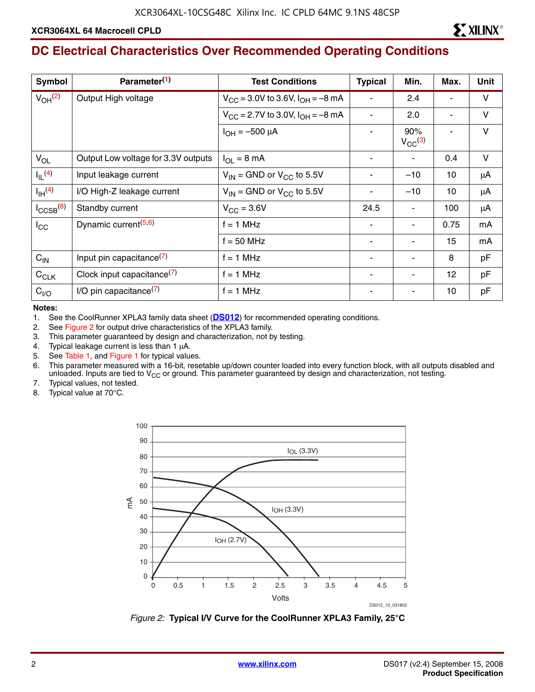# **DC Electrical Characteristics Over Recommended Operating Conditions**

| <b>Symbol</b>           | Parameter <sup>(1)</sup>             | <b>Test Conditions</b>                            | <b>Typical</b> | Min.                           | Max. | <b>Unit</b> |
|-------------------------|--------------------------------------|---------------------------------------------------|----------------|--------------------------------|------|-------------|
| $V_{OH}$ <sup>(2)</sup> | Output High voltage                  | $V_{\rm CC}$ = 3.0V to 3.6V, $I_{\rm OH}$ = -8 mA |                | 2.4                            |      | $\vee$      |
|                         |                                      | $V_{\rm CC}$ = 2.7V to 3.0V, $I_{\rm OH}$ = -8 mA |                | 2.0                            |      | V           |
|                         |                                      | $I_{OH} = -500 \mu A$                             |                | 90%<br>$V_{CC}$ <sup>(3)</sup> |      | V           |
| $V_{OL}$                | Output Low voltage for 3.3V outputs  | $I_{\Omega I} = 8 \text{ mA}$                     |                | ۰                              | 0.4  | $\vee$      |
| $I_{IL}$ <sup>(4)</sup> | Input leakage current                | $V_{IN}$ = GND or $V_{CC}$ to 5.5V                |                | $-10$                          | 10   | μA          |
| $I_{\text{IH}}^{(4)}$   | I/O High-Z leakage current           | $V_{IN}$ = GND or $V_{CC}$ to 5.5V                |                | $-10$                          | 10   | μA          |
| $I_{\text{CCSB}}^{(8)}$ | Standby current                      | $V_{\text{CC}} = 3.6V$                            | 24.5           | ۰                              | 100  | μA          |
| $I_{\rm CC}$            | Dynamic current <sup>(5,6)</sup>     | $f = 1$ MHz                                       |                | ۰                              | 0.75 | mA          |
|                         |                                      | $f = 50$ MHz                                      |                | ۰                              | 15   | mA          |
| $C_{IN}$                | Input pin capacitance $(7)$          | $f = 1$ MHz                                       |                |                                | 8    | pF          |
| $C_{CLK}$               | Clock input capacitance $(7)$        | $f = 1$ MHz                                       |                | ۰                              | 12   | pF          |
| C <sub>I/O</sub>        | $I/O$ pin capacitance <sup>(7)</sup> | $f = 1$ MHz                                       |                |                                | 10   | pF          |

**Notes:** 

1. See the CoolRunner XPLA3 family data sheet (**[DS012](http://www.xilinx.com/support/documentation/data_sheets/ds012.pdf)**) for recommended operating conditions.

2. See Figure 2 for output drive characteristics of the XPLA3 family.

3. This parameter guaranteed by design and characterization, not by testing.

4. Typical leakage current is less than 1 μA.

5. See Table 1, and Figure 1 for typical values.

6. This parameter measured with a 16-bit, resetable up/down counter loaded into every function block, with all outputs disabled and unloaded. Inputs are tied to  $V_{CC}$  or ground. This parameter guaranteed by design and characterization, not testing.

7. Typical values, not tested.

8. Typical value at 70°C.



*Figure 2:* **Typical I/V Curve for the CoolRunner XPLA3 Family, 25°C**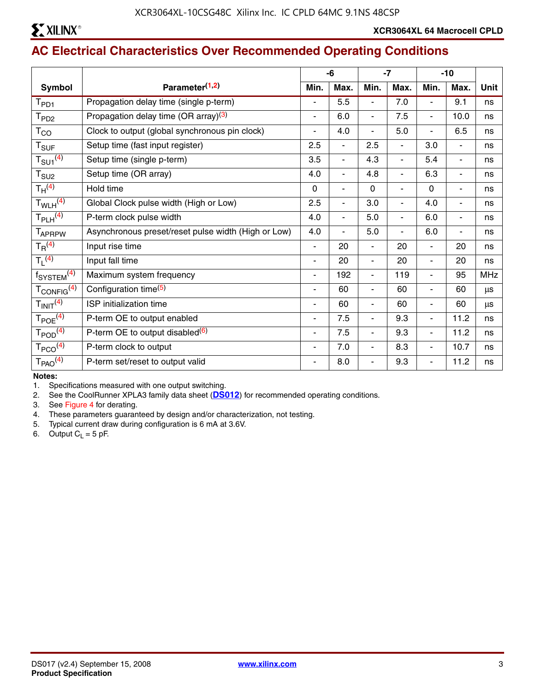

# **AC Electrical Characteristics Over Recommended Operating Conditions**

|                                    |                                                     |                          | -6                       |                          | $-7$                     |                          | $-10$                    |             |
|------------------------------------|-----------------------------------------------------|--------------------------|--------------------------|--------------------------|--------------------------|--------------------------|--------------------------|-------------|
| <b>Symbol</b>                      | Parameter <sup>(1,2)</sup>                          | Min.                     | Max.                     | Min.                     | Max.                     | Min.                     | Max.                     | <b>Unit</b> |
| $T_{PD1}$                          | Propagation delay time (single p-term)              |                          | 5.5                      | ÷,                       | 7.0                      | ۳                        | 9.1                      | ns          |
| T <sub>PD2</sub>                   | Propagation delay time (OR array) <sup>(3)</sup>    | ٠                        | 6.0                      | $\overline{\phantom{0}}$ | 7.5                      | $\frac{1}{2}$            | 10.0                     | ns          |
| $T_{CO}$                           | Clock to output (global synchronous pin clock)      | $\overline{a}$           | 4.0                      | ÷,                       | 5.0                      | ۰                        | 6.5                      | ns          |
| $T_{\text{SUF}}$                   | Setup time (fast input register)                    | 2.5                      | $\overline{\phantom{0}}$ | 2.5                      | $\overline{\phantom{a}}$ | 3.0                      | $\overline{\phantom{0}}$ | ns          |
| $T_{\text{SU1}}^{(4)}$             | Setup time (single p-term)                          | 3.5                      | ÷,                       | 4.3                      | ٠                        | 5.4                      | -                        | ns          |
| $T_{\scriptstyle\text{SU2}}$       | Setup time (OR array)                               | 4.0                      | $\overline{\phantom{a}}$ | 4.8                      | $\overline{\phantom{a}}$ | 6.3                      | -                        | ns          |
| $T_H^{(4)}$                        | Hold time                                           | $\mathbf 0$              | ۰                        | $\mathbf 0$              |                          | $\mathbf 0$              | -                        | ns          |
| $T_{WLH}$ <sup>(4)</sup>           | Global Clock pulse width (High or Low)              | 2.5                      | ä,                       | 3.0                      | $\overline{\phantom{a}}$ | 4.0                      | $\overline{\phantom{0}}$ | ns          |
| $T_{PLH}$ <sup>(4)</sup>           | P-term clock pulse width                            | 4.0                      | $\overline{\phantom{0}}$ | 5.0                      | $\blacksquare$           | 6.0                      | -                        | ns          |
| <b>TAPRPW</b>                      | Asynchronous preset/reset pulse width (High or Low) | 4.0                      | $\blacksquare$           | 5.0                      | $\blacksquare$           | 6.0                      | ٠                        | ns          |
| $T_R^{(4)}$                        | Input rise time                                     | $\overline{\phantom{a}}$ | 20                       | $\overline{\phantom{0}}$ | 20                       | $\overline{\phantom{a}}$ | 20                       | ns          |
| $T_1$ <sup>(4)</sup>               | Input fall time                                     | $\blacksquare$           | 20                       | $\overline{\phantom{0}}$ | 20                       | $\blacksquare$           | 20                       | ns          |
| f <sub>SYSTEM</sub> <sup>(4)</sup> | Maximum system frequency                            | $\blacksquare$           | 192                      | $\overline{\phantom{0}}$ | 119                      | L.                       | 95                       | <b>MHz</b>  |
| T <sub>CONFIG</sub> <sup>(4)</sup> | Configuration time <sup>(5)</sup>                   |                          | 60                       | ٠                        | 60                       | $\blacksquare$           | 60                       | μs          |
| $T_{INIT}$ <sup>(4)</sup>          | ISP initialization time                             | $\blacksquare$           | 60                       | $\overline{\phantom{0}}$ | 60                       | $\overline{\phantom{a}}$ | 60                       | μs          |
| $T_{POE}$ <sup>(4)</sup>           | P-term OE to output enabled                         | ٠                        | 7.5                      | ٠                        | 9.3                      | ٠                        | 11.2                     | ns          |
| $T_{\text{POD}}^{(4)}$             | P-term OE to output disabled $(6)$                  | ٠                        | 7.5                      | $\overline{\phantom{0}}$ | 9.3                      | $\blacksquare$           | 11.2                     | ns          |
| $T_{PCO}$ <sup>(4)</sup>           | P-term clock to output                              |                          | 7.0                      | $\overline{\phantom{0}}$ | 8.3                      | ۳                        | 10.7                     | ns          |
| T <sub>PAO</sub> <sup>(4)</sup>    | P-term set/reset to output valid                    | ۰                        | 8.0                      | ÷,                       | 9.3                      | $\blacksquare$           | 11.2                     | ns          |

**Notes:** 

1. Specifications measured with one output switching.

2. See the CoolRunner XPLA3 family data sheet (**[DS012](http://www.xilinx.com/support/documentation/data_sheets/ds012.pdf)**) for recommended operating conditions.

3. See Figure 4 for derating.

4. These parameters guaranteed by design and/or characterization, not testing.

5. Typical current draw during configuration is 6 mA at 3.6V.

6. Output  $C_L = 5$  pF.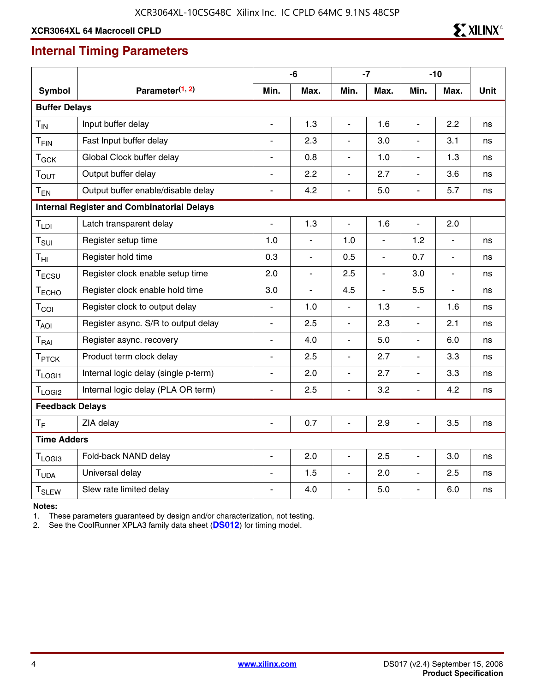# **Internal Timing Parameters**

|                         |                                                   |                          | -6             |                              | $-7$           |                          | $-10$          |             |
|-------------------------|---------------------------------------------------|--------------------------|----------------|------------------------------|----------------|--------------------------|----------------|-------------|
| Symbol                  | Parameter <sup>(1, 2)</sup>                       | Min.                     | Max.           | Min.                         | Max.           | Min.                     | Max.           | <b>Unit</b> |
| <b>Buffer Delays</b>    |                                                   |                          |                |                              |                |                          |                |             |
| $T_{IN}$                | Input buffer delay                                | $\overline{\phantom{0}}$ | 1.3            | $\overline{\phantom{a}}$     | 1.6            | $\blacksquare$           | 2.2            | ns          |
| $T_{FIN}$               | Fast Input buffer delay                           |                          | 2.3            |                              | 3.0            |                          | 3.1            | ns          |
| $T_{GCK}$               | Global Clock buffer delay                         | $\overline{\phantom{0}}$ | 0.8            | $\overline{a}$               | 1.0            | $\overline{\phantom{a}}$ | 1.3            | ns          |
| T <sub>OUT</sub>        | Output buffer delay                               | $\overline{\phantom{0}}$ | 2.2            | ÷,                           | 2.7            | ÷,                       | 3.6            | ns          |
| $T_{EN}$                | Output buffer enable/disable delay                | L.                       | 4.2            | $\qquad \qquad \blacksquare$ | 5.0            | $\overline{a}$           | 5.7            | ns          |
|                         | <b>Internal Register and Combinatorial Delays</b> |                          |                |                              |                |                          |                |             |
| T <sub>LDI</sub>        | Latch transparent delay                           | $\overline{\phantom{0}}$ | 1.3            | $\frac{1}{2}$                | 1.6            | $\overline{\phantom{a}}$ | 2.0            |             |
| $T_{\textrm{SUI}}$      | Register setup time                               | 1.0                      | ÷,             | 1.0                          | $\overline{a}$ | 1.2                      | $\overline{a}$ | ns          |
| $T_{\text{HI}}$         | Register hold time                                | 0.3                      | $\blacksquare$ | 0.5                          | ÷,             | 0.7                      | $\blacksquare$ | ns          |
| T <sub>ECSU</sub>       | Register clock enable setup time                  | 2.0                      | $\blacksquare$ | 2.5                          | ÷,             | 3.0                      | $\blacksquare$ | ns          |
| T <sub>ECHO</sub>       | Register clock enable hold time                   | 3.0                      | L,             | 4.5                          | $\overline{a}$ | 5.5                      |                | ns          |
| $T_{COI}$               | Register clock to output delay                    | L.                       | 1.0            | ÷,                           | 1.3            | $\blacksquare$           | 1.6            | ns          |
| T <sub>AOI</sub>        | Register async. S/R to output delay               | $\overline{\phantom{0}}$ | 2.5            | $\overline{a}$               | 2.3            | $\overline{a}$           | 2.1            | ns          |
| T <sub>RAI</sub>        | Register async. recovery                          | $\blacksquare$           | 4.0            | $\overline{\phantom{a}}$     | 5.0            | $\overline{a}$           | 6.0            | ns          |
| T <sub>PTCK</sub>       | Product term clock delay                          | $\blacksquare$           | 2.5            | $\overline{a}$               | 2.7            | $\blacksquare$           | 3.3            | ns          |
| $T_{LOGI1}$             | Internal logic delay (single p-term)              | $\overline{\phantom{a}}$ | 2.0            | $\overline{\phantom{a}}$     | 2.7            | $\overline{a}$           | 3.3            | ns          |
| T <sub>LOGI2</sub>      | Internal logic delay (PLA OR term)                | $\blacksquare$           | 2.5            | $\overline{a}$               | 3.2            | $\overline{a}$           | 4.2            | ns          |
| <b>Feedback Delays</b>  |                                                   |                          |                |                              |                |                          |                |             |
| $T_F$                   | ZIA delay                                         | $\blacksquare$           | 0.7            | $\overline{\phantom{a}}$     | 2.9            | $\blacksquare$           | 3.5            | ns          |
| <b>Time Adders</b>      |                                                   |                          |                |                              |                |                          |                |             |
| T <sub>LOGI3</sub>      | Fold-back NAND delay                              | $\overline{\phantom{0}}$ | 2.0            | ÷,                           | 2.5            | ÷,                       | 3.0            | ns          |
| T <sub>UDA</sub>        | Universal delay                                   | L.                       | 1.5            | $\overline{\phantom{a}}$     | 2.0            | $\overline{a}$           | 2.5            | ns          |
| <b>T<sub>SLEW</sub></b> | Slew rate limited delay                           |                          | 4.0            | $\blacksquare$               | 5.0            | $\overline{a}$           | 6.0            | ns          |

**Notes:** 

1. These parameters guaranteed by design and/or characterization, not testing.

2. See the CoolRunner XPLA3 family data sheet (**[DS012](http://www.xilinx.com/support/documentation/data_sheets/ds012.pdf)**) for timing model.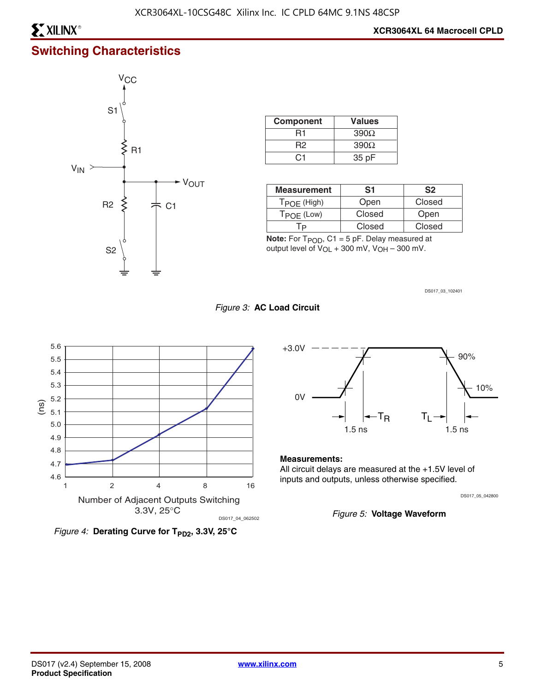# **Switching Characteristics**



| <b>Component</b> | <b>Values</b> |
|------------------|---------------|
| R1               | $390\Omega$   |
| R2               | $390\Omega$   |
| ( ) 1            | 35 pF         |

| <b>Measurement</b> | S1     | S <sub>2</sub> |
|--------------------|--------|----------------|
| $T$ POE (High)     | Open   | Closed         |
| TPOE (Low)         | Closed | Open           |
|                    | Closed | Closed         |

**Note:** For  $T_{POD}$ , C1 = 5 pF. Delay measured at output level of VOL + 300 mV, VOH – 300 mV.

DS017\_03\_102401









#### **Measurements:**

All circuit delays are measured at the +1.5V level of inputs and outputs, unless otherwise specified.

DS017\_05\_042800

*Figure 5:* **Voltage Waveform**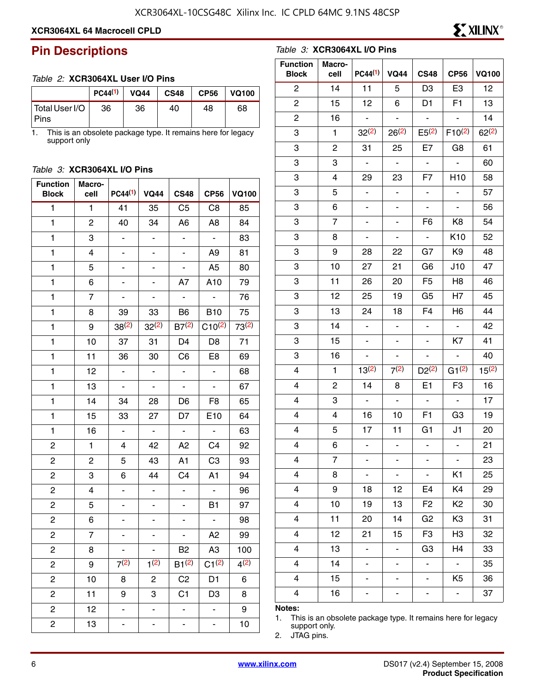*Table 3:* **XCR3064XL I/O Pins**

### **XCR3064XL 64 Macrocell CPLD**

### **Pin Descriptions**

#### *Table 2:* **XCR3064XL User I/O Pins**

|                        | PC44 <sup>(1)</sup> | <b>VQ44</b> | <b>CS48</b> | <b>CP56</b> | <b>VQ100</b> |
|------------------------|---------------------|-------------|-------------|-------------|--------------|
| Total User I/O<br>Pins | 36                  | 36          | 40          | 48          | 68           |

1. This is an obsolete package type. It remains here for legacy support only

#### *Table 3:* **XCR3064XL I/O Pins**

| <b>Function</b><br><b>Block</b> | Macro-<br>cell | $PC44^{(1)}$                 | <b>VQ44</b>                  | <b>CS48</b>              | <b>CP56</b>                  | <b>VQ100</b> |
|---------------------------------|----------------|------------------------------|------------------------------|--------------------------|------------------------------|--------------|
| $\mathbf{1}$                    | 1              | 41                           | 35                           | C <sub>5</sub>           | C <sub>8</sub>               | 85           |
| 1                               | $\overline{c}$ | 40                           | 34                           | A <sub>6</sub>           | A <sub>8</sub>               | 84           |
| 1                               | 3              | $\blacksquare$               | $\overline{\phantom{0}}$     | $\blacksquare$           | $\blacksquare$               | 83           |
| 1                               | 4              | -                            | -                            | -                        | A <sub>9</sub>               | 81           |
| 1                               | 5              | -                            | $\overline{\phantom{0}}$     | $\overline{\phantom{0}}$ | A <sub>5</sub>               | 80           |
| $\mathbf{1}$                    | 6              |                              |                              | A7                       | A10                          | 79           |
| 1                               | 7              |                              |                              |                          |                              | 76           |
| 1                               | 8              | 39                           | 33                           | B <sub>6</sub>           | <b>B10</b>                   | 75           |
| 1                               | 9              | $38^{(2)}$                   | $32^{(2)}$                   | $B7^{(2)}$               | $C10^{(2)}$                  | $73^{(2)}$   |
| 1                               | 10             | 37                           | 31                           | D4                       | D <sub>8</sub>               | 71           |
| 1                               | 11             | 36                           | 30                           | C <sub>6</sub>           | E <sub>8</sub>               | 69           |
| 1                               | 12             | $\blacksquare$               | $\blacksquare$               | $\blacksquare$           | $\qquad \qquad \blacksquare$ | 68           |
| $\mathbf{1}$                    | 13             | $\qquad \qquad \blacksquare$ | $\qquad \qquad \blacksquare$ | -                        | $\qquad \qquad \blacksquare$ | 67           |
| 1                               | 14             | 34                           | 28                           | D6                       | F <sub>8</sub>               | 65           |
| 1                               | 15             | 33                           | 27                           | D7                       | E10                          | 64           |
| 1                               | 16             | $\qquad \qquad \blacksquare$ | $\overline{\phantom{a}}$     | $\overline{\phantom{0}}$ | $\qquad \qquad \blacksquare$ | 63           |
| $\overline{\mathbf{c}}$         | 1              | 4                            | 42                           | A2                       | C <sub>4</sub>               | 92           |
| $\overline{\mathbf{c}}$         | $\overline{c}$ | 5                            | 43                           | A1                       | C <sub>3</sub>               | 93           |
| $\overline{\mathbf{c}}$         | 3              | 6                            | 44                           | C <sub>4</sub>           | A1                           | 94           |
| $\overline{\mathbf{c}}$         | 4              | -                            | -                            | $\overline{\phantom{a}}$ | ÷                            | 96           |
| $\overline{\mathbf{c}}$         | 5              | -                            | -                            | -                        | B1                           | 97           |
| $\overline{\mathbf{c}}$         | 6              |                              |                              | -                        | $\blacksquare$               | 98           |
| $\overline{\mathbf{c}}$         | 7              | -                            | -                            | $\blacksquare$           | A <sub>2</sub>               | 99           |
| 2                               | 8              |                              |                              | B <sub>2</sub>           | A <sub>3</sub>               | 100          |
| 2                               | 9              | 7(2)                         | 1(2)                         | $B1^{(2)}$               | $C1^{(2)}$                   | 4(2)         |
| 2                               | 10             | 8                            | 2                            | C <sub>2</sub>           | D1                           | 6            |
| 2                               | 11             | 9                            | 3                            | C1                       | D <sub>3</sub>               | 8            |
| 2                               | 12             |                              |                              |                          | -                            | 9            |
| 2                               | 13             | -                            |                              | ۳                        | ÷                            | 10           |

| <b>Function</b><br><b>Block</b> | Macro-<br>cell | $PC44^{(1)}$                 | <b>VQ44</b>              | <b>CS48</b>              | <b>CP56</b>     | <b>VQ100</b> |
|---------------------------------|----------------|------------------------------|--------------------------|--------------------------|-----------------|--------------|
| $\overline{c}$                  | 14             | 11                           | 5                        | D <sub>3</sub>           | E <sub>3</sub>  | 12           |
| $\overline{c}$                  | 15             | 12                           | 6                        | D <sub>1</sub>           | F <sub>1</sub>  | 13           |
| $\overline{c}$                  | 16             | ÷,                           | ÷,                       | $\Box$                   | $\overline{a}$  | 14           |
| 3                               | $\mathbf{1}$   | $32^{(2)}$                   | $26^{(2)}$               | $E5^{(2)}$               | $F10^{(2)}$     | $62^{(2)}$   |
| 3                               | 2              | 31                           | 25                       | E7                       | G8              | 61           |
| 3                               | 3              | $\Box$                       | $\blacksquare$           | $\blacksquare$           |                 | 60           |
| 3                               | 4              | 29                           | 23                       | F7                       | H <sub>10</sub> | 58           |
| 3                               | 5              | $\overline{a}$               | $\overline{\phantom{a}}$ | $\overline{\phantom{a}}$ |                 | 57           |
| 3                               | 6              | $\blacksquare$               | $\overline{\phantom{0}}$ | $\blacksquare$           |                 | 56           |
| 3                               | 7              | -                            | -                        | F <sub>6</sub>           | K <sub>8</sub>  | 54           |
| 3                               | 8              | $\qquad \qquad \blacksquare$ | ÷,                       | $\blacksquare$           | K10             | 52           |
| 3                               | 9              | 28                           | 22                       | G7                       | K <sub>9</sub>  | 48           |
| 3                               | 10             | 27                           | 21                       | G <sub>6</sub>           | J10             | 47           |
| 3                               | 11             | 26                           | 20                       | F <sub>5</sub>           | H <sub>8</sub>  | 46           |
| 3                               | 12             | 25                           | 19                       | G <sub>5</sub>           | H <sub>7</sub>  | 45           |
| 3                               | 13             | 24                           | 18                       | F4                       | H <sub>6</sub>  | 44           |
| 3                               | 14             | $\Box$                       | ÷,                       | $\blacksquare$           | $\sim$          | 42           |
| 3                               | 15             | $\blacksquare$               | $\blacksquare$           | $\overline{\phantom{0}}$ | K7              | 41           |
| 3                               | 16             |                              |                          |                          |                 | 40           |
| 4                               | $\mathbf{1}$   | $13^{(2)}$                   | 7(2)                     | $D2^{(2)}$               | $G1^{(2)}$      | $15^{(2)}$   |
| 4                               | 2              | 14                           | 8                        | E <sub>1</sub>           | F <sub>3</sub>  | 16           |
| 4                               | 3              | $\overline{\phantom{a}}$     | $\overline{\phantom{0}}$ | $\overline{\phantom{a}}$ | $\blacksquare$  | 17           |
| 4                               | 4              | 16                           | 10                       | F <sub>1</sub>           | G <sub>3</sub>  | 19           |
| 4                               | 5              | 17                           | 11                       | G1                       | J1              | 20           |
| 4                               | 6              |                              |                          |                          |                 | 21           |
| 4                               | 7              |                              |                          |                          |                 | 23           |
| 4                               | 8              | $\overline{\phantom{0}}$     | $\overline{\phantom{0}}$ | ٠                        | K1              | 25           |
| 4                               | 9              | 18                           | 12                       | E4                       | K4              | 29           |
| 4                               | 10             | 19                           | 13                       | F <sub>2</sub>           | K <sub>2</sub>  | 30           |
| 4                               | 11             | 20                           | 14                       | G <sub>2</sub>           | K3              | 31           |
| 4                               | 12             | 21                           | 15                       | F <sub>3</sub>           | H <sub>3</sub>  | 32           |
| 4                               | 13             |                              | $\blacksquare$           | G <sub>3</sub>           | H4              | 33           |
| 4                               | 14             | $\overline{a}$               | $\overline{\phantom{0}}$ | ÷,                       | $\blacksquare$  | 35           |
| 4                               | 15             |                              |                          |                          | K <sub>5</sub>  | 36           |
| 4                               | 16             |                              |                          |                          |                 | 37           |
| Notae:                          |                |                              |                          |                          |                 |              |

#### **Notes:**

1. This is an obsolete package type. It remains here for legacy support only.

2. JTAG pins.

**EXILINX<sup>®</sup>**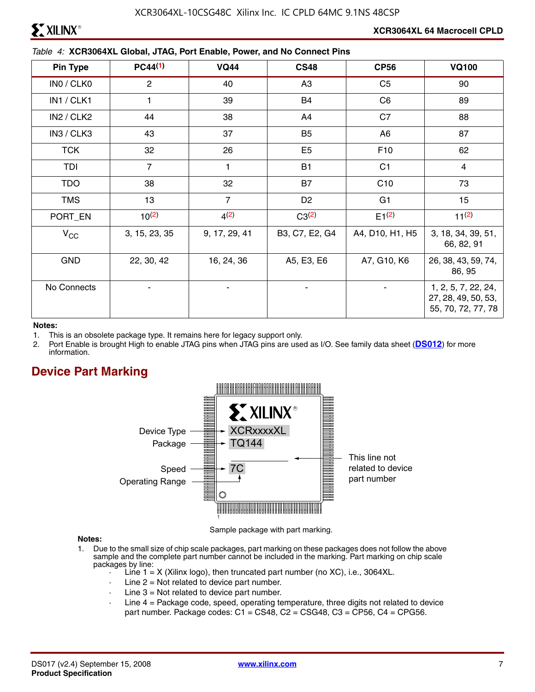$\triangle$  XILINX®

#### *Table 4:* **XCR3064XL Global, JTAG, Port Enable, Power, and No Connect Pins**

| <b>Pin Type</b> | $PC44^{(1)}$   | <b>VQ44</b>    | <b>CS48</b>    | <b>CP56</b>     | <b>VQ100</b>                                                     |
|-----------------|----------------|----------------|----------------|-----------------|------------------------------------------------------------------|
| INO / CLKO      | $\mathbf{2}$   | 40             | A <sub>3</sub> | C <sub>5</sub>  | 90                                                               |
| IN1 / CLK1      | $\mathbf{1}$   | 39             | B4             | C <sub>6</sub>  | 89                                                               |
| IN2 / CLK2      | 44             | 38             | A4             | C7              | 88                                                               |
| IN3 / CLK3      | 43             | 37             | B <sub>5</sub> | A <sub>6</sub>  | 87                                                               |
| <b>TCK</b>      | 32             | 26             | E <sub>5</sub> | F <sub>10</sub> | 62                                                               |
| TDI             | $\overline{7}$ | 1              | <b>B1</b>      | C <sub>1</sub>  | $\overline{4}$                                                   |
| <b>TDO</b>      | 38             | 32             | <b>B7</b>      | C10             | 73                                                               |
| <b>TMS</b>      | 13             | $\overline{7}$ | D <sub>2</sub> | G <sub>1</sub>  | 15                                                               |
| PORT_EN         | $10^{(2)}$     | 4(2)           | $C3^{(2)}$     | $E1^{(2)}$      | $11^{(2)}$                                                       |
| $V_{\rm CC}$    | 3, 15, 23, 35  | 9, 17, 29, 41  | B3, C7, E2, G4 | A4, D10, H1, H5 | 3, 18, 34, 39, 51,<br>66, 82, 91                                 |
| <b>GND</b>      | 22, 30, 42     | 16, 24, 36     | A5, E3, E6     | A7, G10, K6     | 26, 38, 43, 59, 74,<br>86, 95                                    |
| No Connects     |                |                |                |                 | 1, 2, 5, 7, 22, 24,<br>27, 28, 49, 50, 53,<br>55, 70, 72, 77, 78 |

#### **Notes:**

- 1. This is an obsolete package type. It remains here for legacy support only.
- 2. Port Enable is brought High to enable JTAG pins when JTAG pins are used as I/O. See family data sheet (**[DS012](http://www.xilinx.com/support/documentation/data_sheets/ds012.pdf)**) for more information.

# **Device Part Marking**



Sample package with part marking.

#### **Notes:**

- 1. Due to the small size of chip scale packages, part marking on these packages does not follow the above sample and the complete part number cannot be included in the marking. Part marking on chip scale packages by line:
	- Line  $1 = X$  (Xilinx logo), then truncated part number (no XC), i.e., 3064XL.
	- $\cdot$  Line 2 = Not related to device part number.
	- $\cdot$  Line 3 = Not related to device part number.
	- Line 4 = Package code, speed, operating temperature, three digits not related to device part number. Package codes:  $C1 = CS48$ ,  $C2 = CSG48$ ,  $C3 = CP56$ ,  $C4 = CPG56$ .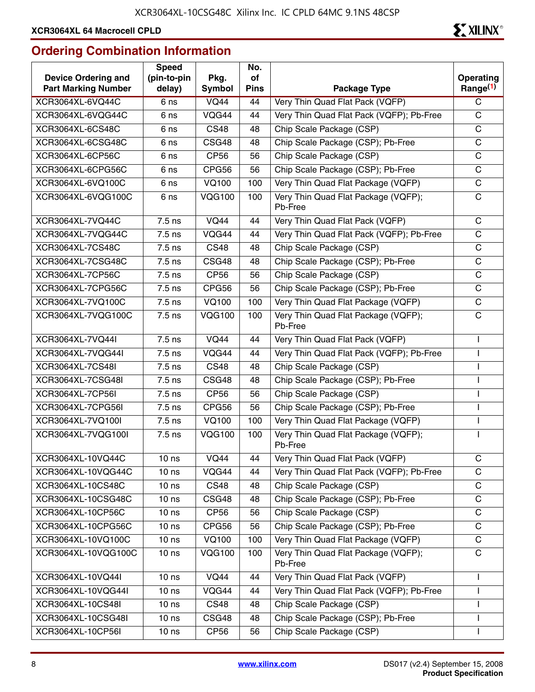# **Ordering Combination Information**

| <b>Device Ordering and</b><br><b>Part Marking Number</b> | <b>Speed</b><br>(pin-to-pin<br>delay) | Pkg.<br>Symbol   | No.<br>of<br><b>Pins</b> | Package Type                                   | Operating<br>Range $(1)$ |
|----------------------------------------------------------|---------------------------------------|------------------|--------------------------|------------------------------------------------|--------------------------|
| XCR3064XL-6VQ44C                                         | 6 ns                                  | <b>VQ44</b>      | 44                       | Very Thin Quad Flat Pack (VQFP)                | C                        |
| XCR3064XL-6VQG44C                                        | 6 ns                                  | VQG44            | 44                       | Very Thin Quad Flat Pack (VQFP); Pb-Free       | $\mathsf C$              |
| XCR3064XL-6CS48C                                         | 6 ns                                  | <b>CS48</b>      | 48                       | Chip Scale Package (CSP)                       | $\mathsf C$              |
| XCR3064XL-6CSG48C                                        | 6 <sub>ns</sub>                       | CSG48            | 48                       | Chip Scale Package (CSP); Pb-Free              | $\mathsf C$              |
| XCR3064XL-6CP56C                                         | 6 ns                                  | CP56             | 56                       | Chip Scale Package (CSP)                       | $\mathsf C$              |
| XCR3064XL-6CPG56C                                        | 6 ns                                  | CPG56            | 56                       | Chip Scale Package (CSP); Pb-Free              | C                        |
| XCR3064XL-6VQ100C                                        | 6 <sub>ns</sub>                       | <b>VQ100</b>     | 100                      | Very Thin Quad Flat Package (VQFP)             | $\mathsf C$              |
| XCR3064XL-6VQG100C                                       | 6 ns                                  | <b>VQG100</b>    | 100                      | Very Thin Quad Flat Package (VQFP);<br>Pb-Free | C                        |
| XCR3064XL-7VQ44C                                         | $7.5$ ns                              | <b>VQ44</b>      | 44                       | Very Thin Quad Flat Pack (VQFP)                | C                        |
| XCR3064XL-7VQG44C                                        | 7.5 ns                                | VQG44            | 44                       | Very Thin Quad Flat Pack (VQFP); Pb-Free       | $\mathbf C$              |
| XCR3064XL-7CS48C                                         | 7.5 ns                                | <b>CS48</b>      | 48                       | Chip Scale Package (CSP)                       | $\mathsf C$              |
| XCR3064XL-7CSG48C                                        | 7.5 ns                                | CSG48            | 48                       | Chip Scale Package (CSP); Pb-Free              | $\mathsf C$              |
| XCR3064XL-7CP56C                                         | $7.5$ ns                              | CP <sub>56</sub> | 56                       | Chip Scale Package (CSP)                       | C                        |
| XCR3064XL-7CPG56C                                        | $\overline{7}$ .5 ns                  | CPG56            | 56                       | Chip Scale Package (CSP); Pb-Free              | $\mathsf C$              |
| XCR3064XL-7VQ100C                                        | 7.5 ns                                | <b>VQ100</b>     | 100                      | Very Thin Quad Flat Package (VQFP)             | $\mathbf C$              |
| XCR3064XL-7VQG100C                                       | 7.5 ns                                | <b>VQG100</b>    | 100                      | Very Thin Quad Flat Package (VQFP);<br>Pb-Free | $\mathsf C$              |
| XCR3064XL-7VQ44I                                         | $7.5$ ns                              | <b>VQ44</b>      | 44                       | Very Thin Quad Flat Pack (VQFP)                |                          |
| XCR3064XL-7VQG44I                                        | 7.5 ns                                | VQG44            | 44                       | Very Thin Quad Flat Pack (VQFP); Pb-Free       |                          |
| XCR3064XL-7CS48I                                         | 7.5 ns                                | <b>CS48</b>      | 48                       | Chip Scale Package (CSP)                       |                          |
| XCR3064XL-7CSG48I                                        | 7.5 ns                                | CSG48            | 48                       | Chip Scale Package (CSP); Pb-Free              |                          |
| XCR3064XL-7CP56I                                         | $\overline{7.5}$ ns                   | <b>CP56</b>      | 56                       | Chip Scale Package (CSP)                       |                          |
| XCR3064XL-7CPG56I                                        | $7.5$ ns                              | CPG56            | 56                       | Chip Scale Package (CSP); Pb-Free              |                          |
| XCR3064XL-7VQ100I                                        | 7.5 ns                                | <b>VQ100</b>     | 100                      | Very Thin Quad Flat Package (VQFP)             |                          |
| XCR3064XL-7VQG100I                                       | 7.5 ns                                | <b>VQG100</b>    | 100                      | Very Thin Quad Flat Package (VQFP);<br>Pb-Free |                          |
| XCR3064XL-10VQ44C                                        | 10 <sub>ns</sub>                      | <b>VQ44</b>      | 44                       | Very Thin Quad Flat Pack (VQFP)                | C                        |
| XCR3064XL-10VQG44C                                       | 10 <sub>ns</sub>                      | VQG44            | 44                       | Very Thin Quad Flat Pack (VQFP); Pb-Free       | C                        |
| XCR3064XL-10CS48C                                        | 10 <sub>ns</sub>                      | <b>CS48</b>      | 48                       | Chip Scale Package (CSP)                       | $\mathsf C$              |
| XCR3064XL-10CSG48C                                       | 10 <sub>ns</sub>                      | CSG48            | 48                       | Chip Scale Package (CSP); Pb-Free              | C                        |
| XCR3064XL-10CP56C                                        | 10 <sub>ns</sub>                      | <b>CP56</b>      | 56                       | Chip Scale Package (CSP)                       | $\mathbf C$              |
| XCR3064XL-10CPG56C                                       | 10 <sub>ns</sub>                      | CPG56            | 56                       | Chip Scale Package (CSP); Pb-Free              | $\mathsf C$              |
| XCR3064XL-10VQ100C                                       | 10 <sub>ns</sub>                      | <b>VQ100</b>     | 100                      | Very Thin Quad Flat Package (VQFP)             | C                        |
| XCR3064XL-10VQG100C                                      | 10 <sub>ns</sub>                      | <b>VQG100</b>    | 100                      | Very Thin Quad Flat Package (VQFP);<br>Pb-Free | C                        |
| XCR3064XL-10VQ44I                                        | 10 <sub>ns</sub>                      | <b>VQ44</b>      | 44                       | Very Thin Quad Flat Pack (VQFP)                | L                        |
| XCR3064XL-10VQG44I                                       | 10 <sub>ns</sub>                      | VQG44            | 44                       | Very Thin Quad Flat Pack (VQFP); Pb-Free       | L                        |
| XCR3064XL-10CS48I                                        | 10 <sub>ns</sub>                      | <b>CS48</b>      | 48                       | Chip Scale Package (CSP)                       |                          |
| XCR3064XL-10CSG48I                                       | 10 <sub>ns</sub>                      | CSG48            | 48                       | Chip Scale Package (CSP); Pb-Free              | T                        |
| XCR3064XL-10CP56I                                        | 10 <sub>ns</sub>                      | CP <sub>56</sub> | 56                       | Chip Scale Package (CSP)                       |                          |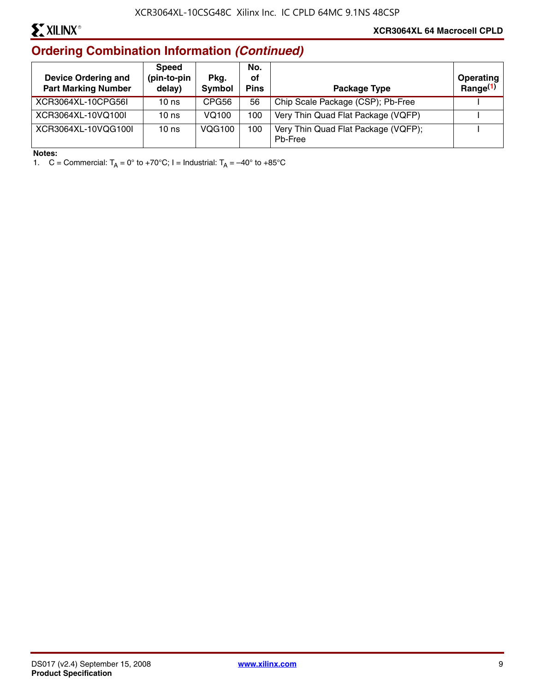# **EXILINX®**

# **Ordering Combination Information** *(Continued)*

| <b>Device Ordering and</b><br><b>Part Marking Number</b> | <b>Speed</b><br>(pin-to-pin<br>delay) | Pkg.<br>Symbol | No.<br>οf<br><b>Pins</b> | Package Type                                   | <b>Operating</b><br>Range $(1)$ |
|----------------------------------------------------------|---------------------------------------|----------------|--------------------------|------------------------------------------------|---------------------------------|
| XCR3064XL-10CPG56L                                       | 10 <sub>ns</sub>                      | CPG56          | 56                       | Chip Scale Package (CSP); Pb-Free              |                                 |
| XCR3064XL-10VQ100I                                       | 10 <sub>ns</sub>                      | VQ100          | 100                      | Very Thin Quad Flat Package (VQFP)             |                                 |
| XCR3064XL-10VQG100I                                      | 10 <sub>ns</sub>                      | <b>VQG100</b>  | 100                      | Very Thin Quad Flat Package (VQFP);<br>Ph-Free |                                 |

#### **Notes:**

1. C = Commercial:  $T_A = 0^\circ$  to +70°C; I = Industrial:  $T_A = -40^\circ$  to +85°C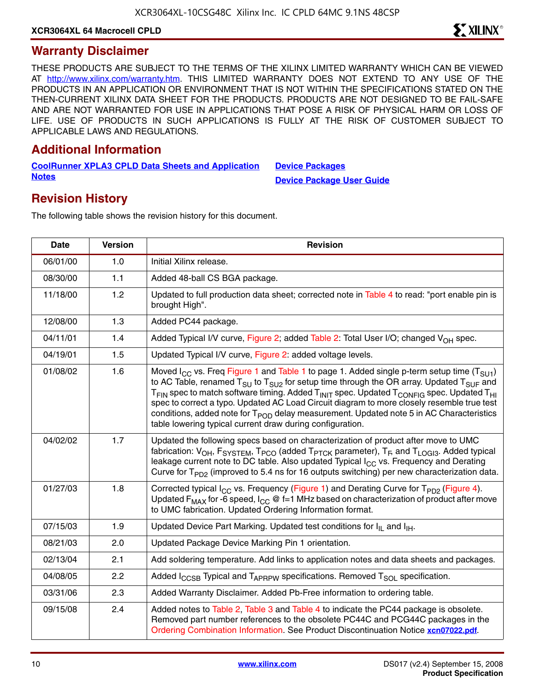### **Warranty Disclaimer**

THESE PRODUCTS ARE SUBJECT TO THE TERMS OF THE XILINX LIMITED WARRANTY WHICH CAN BE VIEWED AT [http://www.xilinx.com/warranty.htm.](http://www.xilinx.com/warranty.htm) THIS LIMITED WARRANTY DOES NOT EXTEND TO ANY USE OF THE PRODUCTS IN AN APPLICATION OR ENVIRONMENT THAT IS NOT WITHIN THE SPECIFICATIONS STATED ON THE THEN-CURRENT XILINX DATA SHEET FOR THE PRODUCTS. PRODUCTS ARE NOT DESIGNED TO BE FAIL-SAFE AND ARE NOT WARRANTED FOR USE IN APPLICATIONS THAT POSE A RISK OF PHYSICAL HARM OR LOSS OF LIFE. USE OF PRODUCTS IN SUCH APPLICATIONS IS FULLY AT THE RISK OF CUSTOMER SUBJECT TO APPLICABLE LAWS AND REGULATIONS.

# **Additional Information**

**[CoolRunner XPLA3 CPLD Data Sheets and Application](http://www.xilinx.com/support/documentation/coolrunner_xpla3.htm) Notes**

**[Device Packages](http://www.xilinx.com/support/documentation/package_specifications.htm) [Device Package User Guide](http://www.xilinx.com/support/documentation/user_guides/ug112.pdf)**

# **Revision History**

The following table shows the revision history for this document.

| Date     | <b>Version</b> | <b>Revision</b>                                                                                                                                                                                                                                                                                                                                                                                                                                                                                                                                                                                                            |  |
|----------|----------------|----------------------------------------------------------------------------------------------------------------------------------------------------------------------------------------------------------------------------------------------------------------------------------------------------------------------------------------------------------------------------------------------------------------------------------------------------------------------------------------------------------------------------------------------------------------------------------------------------------------------------|--|
| 06/01/00 | 1.0            | Initial Xilinx release.                                                                                                                                                                                                                                                                                                                                                                                                                                                                                                                                                                                                    |  |
| 08/30/00 | 1.1            | Added 48-ball CS BGA package.                                                                                                                                                                                                                                                                                                                                                                                                                                                                                                                                                                                              |  |
| 11/18/00 | 1.2            | Updated to full production data sheet; corrected note in Table 4 to read: "port enable pin is<br>brought High".                                                                                                                                                                                                                                                                                                                                                                                                                                                                                                            |  |
| 12/08/00 | 1.3            | Added PC44 package.                                                                                                                                                                                                                                                                                                                                                                                                                                                                                                                                                                                                        |  |
| 04/11/01 | 1.4            | Added Typical I/V curve, Figure 2; added Table 2: Total User I/O; changed V <sub>OH</sub> spec.                                                                                                                                                                                                                                                                                                                                                                                                                                                                                                                            |  |
| 04/19/01 | 1.5            | Updated Typical I/V curve, Figure 2: added voltage levels.                                                                                                                                                                                                                                                                                                                                                                                                                                                                                                                                                                 |  |
| 01/08/02 | 1.6            | Moved $I_{CC}$ vs. Freq Figure 1 and Table 1 to page 1. Added single p-term setup time ( $T_{SUI}$ )<br>to AC Table, renamed $T_{SU}$ to $T_{SU2}$ for setup time through the OR array. Updated $T_{SUF}$ and<br>T <sub>FIN</sub> spec to match software timing. Added T <sub>INIT</sub> spec. Updated T <sub>CONFIG</sub> spec. Updated T <sub>HI</sub><br>spec to correct a typo. Updated AC Load Circuit diagram to more closely resemble true test<br>conditions, added note for T <sub>POD</sub> delay measurement. Updated note 5 in AC Characteristics<br>table lowering typical current draw during configuration. |  |
| 04/02/02 | 1.7            | Updated the following specs based on characterization of product after move to UMC<br>fabrication: V <sub>OH</sub> , F <sub>SYSTEM</sub> , T <sub>PCO</sub> (added T <sub>PTCK</sub> parameter), T <sub>F</sub> , and T <sub>LOGI3</sub> . Added typical<br>leakage current note to DC table. Also updated Typical $I_{CC}$ vs. Frequency and Derating<br>Curve for T <sub>PD2</sub> (improved to 5.4 ns for 16 outputs switching) per new characterization data.                                                                                                                                                          |  |
| 01/27/03 | 1.8            | Corrected typical I <sub>CC</sub> vs. Frequency (Figure 1) and Derating Curve for T <sub>PD2</sub> (Figure 4).<br>Updated F <sub>MAX</sub> for -6 speed, $I_{CC} \otimes f=1$ MHz based on characterization of product after move<br>to UMC fabrication. Updated Ordering Information format.                                                                                                                                                                                                                                                                                                                              |  |
| 07/15/03 | 1.9            | Updated Device Part Marking. Updated test conditions for I <sub>II</sub> and I <sub>IH</sub> .                                                                                                                                                                                                                                                                                                                                                                                                                                                                                                                             |  |
| 08/21/03 | 2.0            | Updated Package Device Marking Pin 1 orientation.                                                                                                                                                                                                                                                                                                                                                                                                                                                                                                                                                                          |  |
| 02/13/04 | 2.1            | Add soldering temperature. Add links to application notes and data sheets and packages.                                                                                                                                                                                                                                                                                                                                                                                                                                                                                                                                    |  |
| 04/08/05 | 2.2            | Added $I_{CCSB}$ Typical and $T_{APRPW}$ specifications. Removed $T_{SOI}$ specification.                                                                                                                                                                                                                                                                                                                                                                                                                                                                                                                                  |  |
| 03/31/06 | 2.3            | Added Warranty Disclaimer. Added Pb-Free information to ordering table.                                                                                                                                                                                                                                                                                                                                                                                                                                                                                                                                                    |  |
| 09/15/08 | 2.4            | Added notes to Table 2, Table 3 and Table 4 to indicate the PC44 package is obsolete.<br>Removed part number references to the obsolete PC44C and PCG44C packages in the<br>Ordering Combination Information. See Product Discontinuation Notice xcn07022.pdf.                                                                                                                                                                                                                                                                                                                                                             |  |